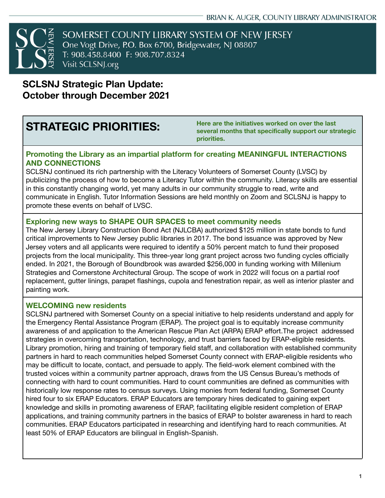

# **SCLSNJ Strategic Plan Update: October through December 2021**

**STRATEGIC PRIORITIES: Here are the initiatives worked on over the last several months that specifically support our strategic priorities.**

#### **Promoting the Library as an impartial platform for creating MEANINGFUL INTERACTIONS AND CONNECTIONS**

SCLSNJ continued its rich partnership with the Literacy Volunteers of Somerset County (LVSC) by publicizing the process of how to become a Literacy Tutor within the community. Literacy skills are essential in this constantly changing world, yet many adults in our community struggle to read, write and communicate in English. Tutor Information Sessions are held monthly on Zoom and SCLSNJ is happy to promote these events on behalf of LVSC.

#### **Exploring new ways to SHAPE OUR SPACES to meet community needs**

The New Jersey Library Construction Bond Act (NJLCBA) authorized \$125 million in state bonds to fund critical improvements to New Jersey public libraries in 2017. The bond issuance was approved by New Jersey voters and all applicants were required to identify a 50% percent match to fund their proposed projects from the local municipality. This three-year long grant project across two funding cycles officially ended. In 2021, the Borough of Boundbrook was awarded \$256,000 in funding working with Millenium Strategies and Cornerstone Architectural Group. The scope of work in 2022 will focus on a partial roof replacement, gutter linings, parapet flashings, cupola and fenestration repair, as well as interior plaster and painting work.

#### **WELCOMING new residents**

SCLSNJ partnered with Somerset County on a special initiative to help residents understand and apply for the Emergency Rental Assistance Program (ERAP). The project goal is to equitably increase community awareness of and application to the American Rescue Plan Act (ARPA) ERAP effort.The project addressed strategies in overcoming transportation, technology, and trust barriers faced by ERAP-eligible residents. Library promotion, hiring and training of temporary field staff, and collaboration with established community partners in hard to reach communities helped Somerset County connect with ERAP-eligible residents who may be difficult to locate, contact, and persuade to apply. The field-work element combined with the trusted voices within a community partner approach, draws from the US Census Bureau's methods of connecting with hard to count communities. Hard to count communities are defined as communities with historically low response rates to census surveys. Using monies from federal funding, Somerset County hired four to six ERAP Educators. ERAP Educators are temporary hires dedicated to gaining expert knowledge and skills in promoting awareness of ERAP, facilitating eligible resident completion of ERAP applications, and training community partners in the basics of ERAP to bolster awareness in hard to reach communities. ERAP Educators participated in researching and identifying hard to reach communities. At least 50% of ERAP Educators are bilingual in English-Spanish.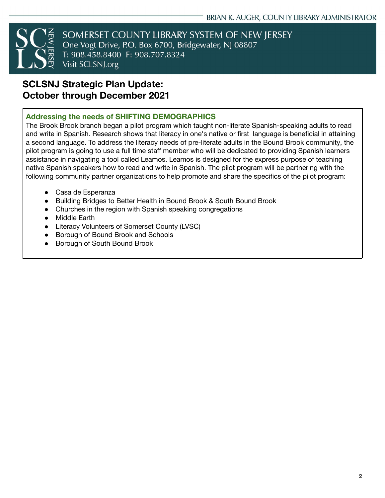

SOMERSET COUNTY LIBRARY SYSTEM OF NEW JERSEY One Vogt Drive, P.O. Box 6700, Bridgewater, NJ 08807 T: 908.458.8400 F: 908.707.8324 Visit SCLSNJ.org

# **SCLSNJ Strategic Plan Update: October through December 2021**

#### **Addressing the needs of SHIFTING DEMOGRAPHICS**

The Brook Brook branch began a pilot program which taught non-literate Spanish-speaking adults to read and write in Spanish. [Research](https://lib.us8.list-manage.com/track/click?u=84f8224029506ee2e4446ea4f&id=818ec105f2&e=055a1d4e42) shows that literacy in one's native or first language is beneficial in attaining a second language. To address the literacy needs of pre-literate adults in the Bound Brook community, the pilot program is going to use a full time staff member who will be dedicated to providing Spanish learners assistance in navigating a tool called [Leamos](https://lib.us8.list-manage.com/track/click?u=84f8224029506ee2e4446ea4f&id=ae84f8db7c&e=055a1d4e42). Leamos is designed for the express purpose of teaching native Spanish speakers how to read and write in Spanish. The pilot program will be partnering with the following community partner organizations to help promote and share the specifics of the pilot program:

- Casa de Esperanza
- Building Bridges to Better Health in Bound Brook & South Bound Brook
- Churches in the region with Spanish speaking congregations
- Middle Earth
- Literacy Volunteers of Somerset County (LVSC)
- Borough of Bound Brook and Schools
- Borough of South Bound Brook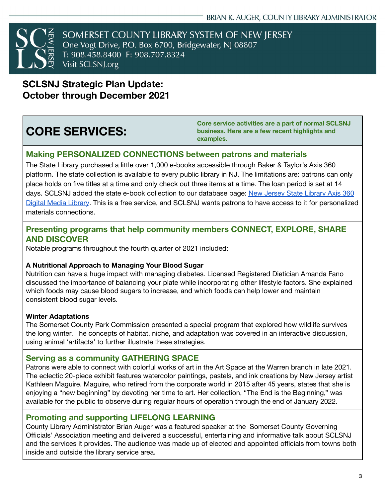

SOMERSET COUNTY LIBRARY SYSTEM OF NEW JERSEY One Vogt Drive, P.O. Box 6700, Bridgewater, NJ 08807 T: 908.458.8400 F: 908.707.8324 Visit SCLSNJ.org

**SCLSNJ Strategic Plan Update: October through December 2021**

# **CORE SERVICES:**

**Core service activities are a part of normal SCLSNJ business. Here are a few recent highlights and examples.**

### **Making PERSONALIZED CONNECTIONS between patrons and materials**

The State Library purchased a little over 1,000 e-books accessible through Baker & Taylor's Axis 360 platform. The state collection is available to every public library in NJ. The limitations are: patrons can only place holds on five titles at a time and only check out three items at a time. The loan period is set at 14 days. SCLSNJ added the state e-book collection to our database page: New Jersey State [Library](https://sclsnj.axis360.baker-taylor.com/) Axis 360 Digital Media [Library](https://sclsnj.axis360.baker-taylor.com/). This is a free service, and SCLSNJ wants patrons to have access to it for personalized materials connections.

### **Presenting programs that help community members CONNECT, EXPLORE, SHARE AND DISCOVER**

Notable programs throughout the fourth quarter of 2021 included:

#### **A Nutritional Approach to Managing Your Blood Sugar**

Nutrition can have a huge impact with managing diabetes. Licensed Registered Dietician Amanda Fano discussed the importance of balancing your plate while incorporating other lifestyle factors. She explained which foods may cause blood sugars to increase, and which foods can help lower and maintain consistent blood sugar levels.

#### **Winter Adaptations**

The Somerset County Park Commission presented a special program that explored how wildlife survives the long winter. The concepts of habitat, niche, and adaptation was covered in an interactive discussion, using animal 'artifacts' to further illustrate these strategies.

#### **Serving as a community GATHERING SPACE**

Patrons were able to connect with colorful works of art in the Art Space at the Warren branch in late 2021. The eclectic 20-piece exhibit features watercolor paintings, pastels, and ink creations by New Jersey artist Kathleen Maguire. Maguire, who retired from the corporate world in 2015 after 45 years, states that she is enjoying a "new beginning" by devoting her time to art. Her collection, "The End is the Beginning," was available for the public to observe during regular hours of operation through the end of January 2022.

### **Promoting and supporting LIFELONG LEARNING**

County Library Administrator Brian Auger was a featured speaker at the Somerset County Governing Officials' Association meeting and delivered a successful, entertaining and informative talk about SCLSNJ and the services it provides. The audience was made up of elected and appointed officials from towns both inside and outside the library service area.